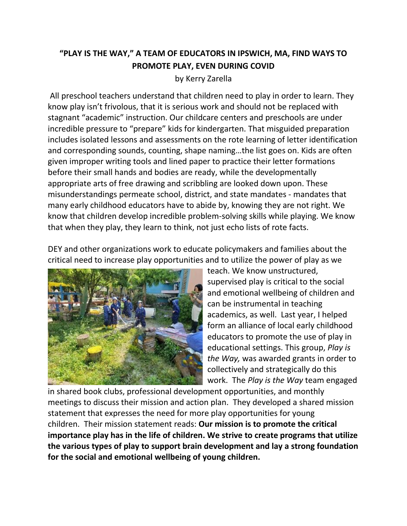## **"PLAY IS THE WAY," A TEAM OF EDUCATORS IN IPSWICH, MA, FIND WAYS TO PROMOTE PLAY, EVEN DURING COVID**

by Kerry Zarella

All preschool teachers understand that children need to play in order to learn. They know play isn't frivolous, that it is serious work and should not be replaced with stagnant "academic" instruction. Our childcare centers and preschools are under incredible pressure to "prepare" kids for kindergarten. That misguided preparation includes isolated lessons and assessments on the rote learning of letter identification and corresponding sounds, counting, shape naming…the list goes on. Kids are often given improper writing tools and lined paper to practice their letter formations before their small hands and bodies are ready, while the developmentally appropriate arts of free drawing and scribbling are looked down upon. These misunderstandings permeate school, district, and state mandates - mandates that many early childhood educators have to abide by, knowing they are not right. We know that children develop incredible problem-solving skills while playing. We know that when they play, they learn to think, not just echo lists of rote facts.

DEY and other organizations work to educate policymakers and families about the critical need to increase play opportunities and to utilize the power of play as we



teach. We know unstructured, supervised play is critical to the social and emotional wellbeing of children and can be instrumental in teaching academics, as well. Last year, I helped form an alliance of local early childhood educators to promote the use of play in educational settings. This group, *Play is the Way,* was awarded grants in order to collectively and strategically do this work. The *Play is the Way* team engaged

in shared book clubs, professional development opportunities, and monthly meetings to discuss their mission and action plan. They developed a shared mission statement that expresses the need for more play opportunities for young children. Their mission statement reads: **Our mission is to promote the critical importance play has in the life of children. We strive to create programs that utilize the various types of play to support brain development and lay a strong foundation for the social and emotional wellbeing of young children.**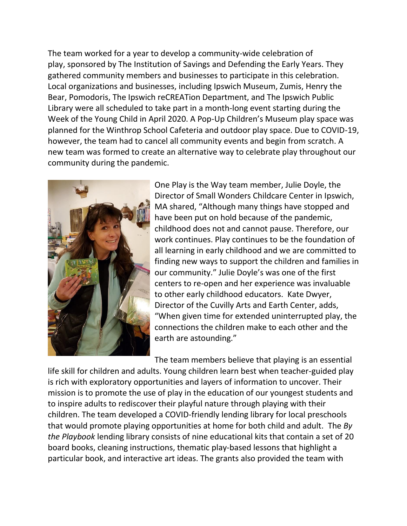The team worked for a year to develop a community-wide celebration of play, sponsored by The Institution of Savings and Defending the Early Years. They gathered community members and businesses to participate in this celebration. Local organizations and businesses, including Ipswich Museum, Zumis, Henry the Bear, Pomodoris, The Ipswich reCREATion Department, and The Ipswich Public Library were all scheduled to take part in a month-long event starting during the Week of the Young Child in April 2020. A Pop-Up Children's Museum play space was planned for the Winthrop School Cafeteria and outdoor play space. Due to COVID-19, however, the team had to cancel all community events and begin from scratch. A new team was formed to create an alternative way to celebrate play throughout our community during the pandemic.



One Play is the Way team member, Julie Doyle, the Director of Small Wonders Childcare Center in Ipswich, MA shared, "Although many things have stopped and have been put on hold because of the pandemic, childhood does not and cannot pause. Therefore, our work continues. Play continues to be the foundation of all learning in early childhood and we are committed to finding new ways to support the children and families in our community." Julie Doyle's was one of the first centers to re-open and her experience was invaluable to other early childhood educators. Kate Dwyer, Director of the Cuvilly Arts and Earth Center, adds, "When given time for extended uninterrupted play, the connections the children make to each other and the earth are astounding."

The team members believe that playing is an essential life skill for children and adults. Young children learn best when teacher-guided play is rich with exploratory opportunities and layers of information to uncover. Their mission is to promote the use of play in the education of our youngest students and to inspire adults to rediscover their playful nature through playing with their children. The team developed a COVID-friendly lending library for local preschools that would promote playing opportunities at home for both child and adult. The *By the Playbook* lending library consists of nine educational kits that contain a set of 20 board books, cleaning instructions, thematic play-based lessons that highlight a particular book, and interactive art ideas. The grants also provided the team with